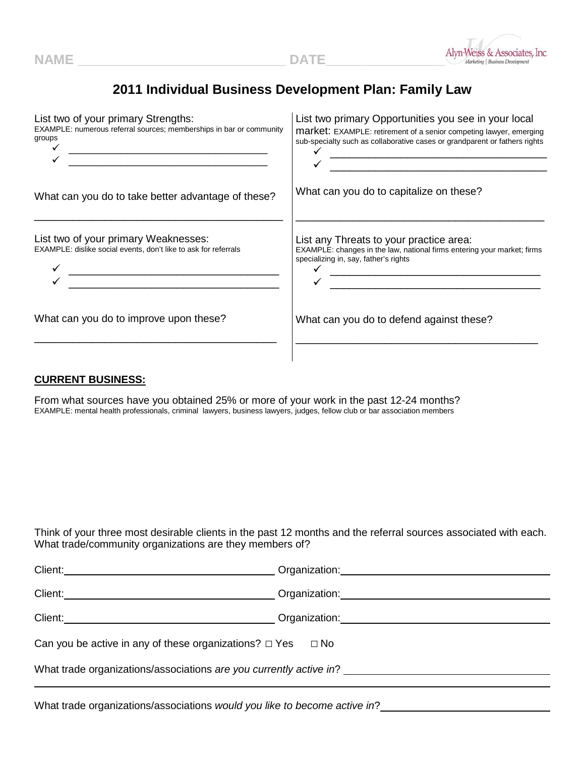

## **2011 Individual Business Development Plan: Family Law**

| List two of your primary Strengths:<br>EXAMPLE: numerous referral sources; memberships in bar or community<br>groups | List two primary Opportunities you see in your local<br><b>market:</b> EXAMPLE: retirement of a senior competing lawyer, emerging<br>sub-specialty such as collaborative cases or grandparent or fathers rights<br><u> 1980 - Johann Barn, mars eta bainar eta baina eta baina eta baina eta baina eta baina eta baina eta baina e</u>          |
|----------------------------------------------------------------------------------------------------------------------|-------------------------------------------------------------------------------------------------------------------------------------------------------------------------------------------------------------------------------------------------------------------------------------------------------------------------------------------------|
| What can you do to take better advantage of these?                                                                   | What can you do to capitalize on these?                                                                                                                                                                                                                                                                                                         |
| List two of your primary Weaknesses:<br>EXAMPLE: dislike social events, don't like to ask for referrals              | List any Threats to your practice area:<br>EXAMPLE: changes in the law, national firms entering your market; firms<br>specializing in, say, father's rights<br><u> 1980 - Jan James James Barnett, fransk politik (</u><br><u> 1980 - Jan James, martin de la política de la propia de la política de la propia de la política de la políti</u> |
| What can you do to improve upon these?                                                                               | What can you do to defend against these?                                                                                                                                                                                                                                                                                                        |
|                                                                                                                      |                                                                                                                                                                                                                                                                                                                                                 |

## **CURRENT BUSINESS:**

From what sources have you obtained 25% or more of your work in the past 12-24 months? EXAMPLE: mental health professionals, criminal lawyers, business lawyers, judges, fellow club or bar association members

Think of your three most desirable clients in the past 12 months and the referral sources associated with each. What trade/community organizations are they members of?

|                                                                          | Organization: New York Changes and Changes and Changes and Changes and Changes and Changes and Changes and Changes and Changes and Changes and Changes and Changes and Changes and Changes and Changes and Changes and Changes |  |
|--------------------------------------------------------------------------|--------------------------------------------------------------------------------------------------------------------------------------------------------------------------------------------------------------------------------|--|
| Client:                                                                  |                                                                                                                                                                                                                                |  |
|                                                                          |                                                                                                                                                                                                                                |  |
| Can you be active in any of these organizations? $\Box$ Yes<br>$\Box$ No |                                                                                                                                                                                                                                |  |
| What trade organizations/associations are you currently active in? _     |                                                                                                                                                                                                                                |  |
|                                                                          |                                                                                                                                                                                                                                |  |

What trade organizations/associations *would you like to become active in*?